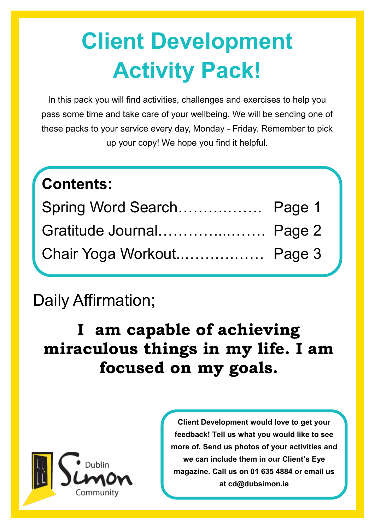# **Client Development Activity Pack!**

In this pack you will find activities, challenges and exercises to help you pass some time and take care of your wellbeing. We will be sending one of these packs to your service every day, Monday - Friday. Remember to pick up your copy! We hope you find it helpful.

| Contents:                 |  |
|---------------------------|--|
| Spring Word Search Page 1 |  |
| Gratitude Journal Page 2  |  |
| Chair Yoga Workout Page 3 |  |

### Daily Affirmation;

### **I am capable of achieving miraculous things in my life. I am focused on my goals.**



**Client Development would love to get your feedback! Tell us what you would like to see more of. Send us photos of your activities and we can include them in our Client's Eye magazine. Call us on 01 635 4884 or email us at cd@dubsimon.ie**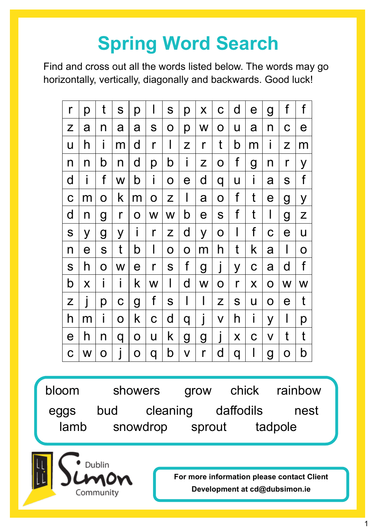## **Spring Word Search**

Find and cross out all the words listed below. The words may go horizontally, vertically, diagonally and backwards. Good luck!

| r           | р              | t            | S            | р           | I            | S           | p            | X                     | $\mathbf C$  | d | $\mathbf e$    | g              | f                     | f |
|-------------|----------------|--------------|--------------|-------------|--------------|-------------|--------------|-----------------------|--------------|---|----------------|----------------|-----------------------|---|
| Z           | a              | n            | a            | a           | S            | O           | p            | W                     | $\mathbf O$  | U | a              | n              | $\mathbf C$           | е |
| U           | h              | Ť            | m            | d           | r            | I           | Z            | r                     | t            | b | m              | Ť              | Z                     | m |
| n           | n              | b            | n            | d           | p            | b           | $\mathbf{I}$ | Z                     | $\mathbf O$  | f | $\overline{g}$ | n              | r                     | У |
| d           | i              | f            | W            | b           | i            | O           | $\mathbf e$  | d                     | q            | U | i              | a              | S                     | f |
| C           | m              | O            | k            | m           | $\mathbf 0$  | Z           | I            | a                     | $\mathbf O$  | f | t              | $\mathbf e$    | $\mathbf g$           | У |
| d           | n              | g            | $\mathsf{r}$ | O           | W            | W           | b            | $\boldsymbol{\Theta}$ | S            | f | t              | I              | $\overline{g}$        | Z |
| S           | y              | g            | У            | I           | $\mathsf{r}$ | Z           | d            | y                     | $\mathsf{O}$ | I | f              | $\mathbf C$    | $\mathbf e$           | U |
| n           | $\overline{e}$ | S            | t            | b           | I            | $\mathbf O$ | $\mathbf 0$  | m                     | h            | t | k              | a              | I                     | O |
| S           | h              | O            | W            | $\mathbf e$ | $\mathsf{r}$ | S           | f            | $\mathbf g$           | J            | У | $\mathbf C$    | a              | d                     | f |
| b           | X              | $\mathbf I$  | Ť            | k           | W            | I           | d            | W                     | $\mathbf O$  | r | X              | $\mathbf O$    | W                     | W |
| Z           | J              | р            | $\mathbf C$  | g           | f            | S           | I            | I                     | Z            | S | U              | $\mathbf O$    | $\boldsymbol{\theta}$ | t |
| h           | m              | $\mathbf{I}$ | O            | k           | $\mathbf C$  | d           | q            | I                     | V            | h | i              | y              | I                     | р |
| $\mathbf e$ | h              | n            | q            | $\mathsf O$ | U            | k           | g            | g                     | $\mathsf{l}$ | X | $\mathbf C$    | V              | t                     | t |
| C           | W              | O            |              | 0           | q            | b           | $\mathsf V$  | r                     | d            | q | I              | $\overline{g}$ | $\mathbf O$           | b |

bloom showers grow chick rainbow eggs bud cleaning daffodils nest lamb snowdrop sprout tadpole



**For more information please contact Client Development at cd@dubsimon.ie**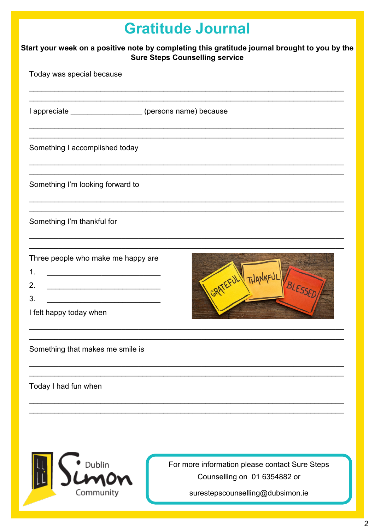|                                                                                                                                        | <b>Gratitude Journal</b>                                                       |  |  |  |  |  |
|----------------------------------------------------------------------------------------------------------------------------------------|--------------------------------------------------------------------------------|--|--|--|--|--|
| Start your week on a positive note by completing this gratitude journal brought to you by the<br><b>Sure Steps Counselling service</b> |                                                                                |  |  |  |  |  |
| Today was special because                                                                                                              |                                                                                |  |  |  |  |  |
| I appreciate ____________________(persons name) because                                                                                |                                                                                |  |  |  |  |  |
| Something I accomplished today                                                                                                         |                                                                                |  |  |  |  |  |
| Something I'm looking forward to                                                                                                       |                                                                                |  |  |  |  |  |
| Something I'm thankful for                                                                                                             |                                                                                |  |  |  |  |  |
| Three people who make me happy are<br>1.<br>2.<br>3.<br>I felt happy today when                                                        | THANKFUI                                                                       |  |  |  |  |  |
| Something that makes me smile is                                                                                                       |                                                                                |  |  |  |  |  |
| Today I had fun when                                                                                                                   |                                                                                |  |  |  |  |  |
|                                                                                                                                        |                                                                                |  |  |  |  |  |
|                                                                                                                                        |                                                                                |  |  |  |  |  |
| Dublin                                                                                                                                 | For more information please contact Sure Steps<br>Counselling on 01 6354882 or |  |  |  |  |  |

Community

یبا یا

surestepscounselling@dubsimon.ie